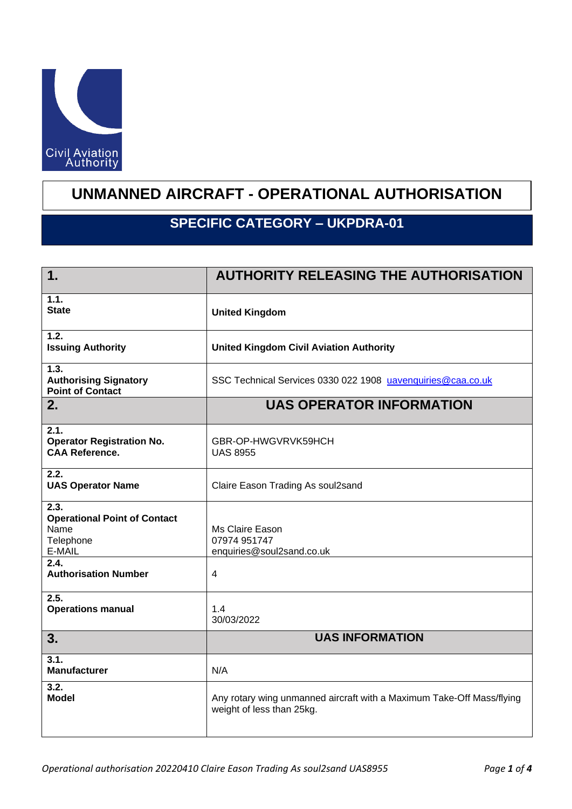

## **UNMANNED AIRCRAFT - OPERATIONAL AUTHORISATION**

## **SPECIFIC CATEGORY – UKPDRA-01**

| 1.                                                                                 | <b>AUTHORITY RELEASING THE AUTHORISATION</b>                                                       |
|------------------------------------------------------------------------------------|----------------------------------------------------------------------------------------------------|
| 1.1.<br><b>State</b>                                                               | <b>United Kingdom</b>                                                                              |
| 1.2.<br><b>Issuing Authority</b>                                                   | <b>United Kingdom Civil Aviation Authority</b>                                                     |
| 1.3.<br><b>Authorising Signatory</b><br><b>Point of Contact</b>                    | SSC Technical Services 0330 022 1908 uavenquiries@caa.co.uk                                        |
| 2.                                                                                 | <b>UAS OPERATOR INFORMATION</b>                                                                    |
| 2.1.<br><b>Operator Registration No.</b><br><b>CAA Reference.</b>                  | GBR-OP-HWGVRVK59HCH<br><b>UAS 8955</b>                                                             |
| 2.2.<br><b>UAS Operator Name</b>                                                   | Claire Eason Trading As soul2sand                                                                  |
| 2.3.<br><b>Operational Point of Contact</b><br>Name<br>Telephone<br>E-MAIL<br>2.4. | Ms Claire Eason<br>07974 951747<br>enquiries@soul2sand.co.uk                                       |
| <b>Authorisation Number</b>                                                        | $\overline{\mathbf{4}}$                                                                            |
| 2.5.<br><b>Operations manual</b>                                                   | 1.4<br>30/03/2022                                                                                  |
| 3.                                                                                 | <b>UAS INFORMATION</b>                                                                             |
| 3.1.<br><b>Manufacturer</b>                                                        | N/A                                                                                                |
| 3.2.<br><b>Model</b>                                                               | Any rotary wing unmanned aircraft with a Maximum Take-Off Mass/flying<br>weight of less than 25kg. |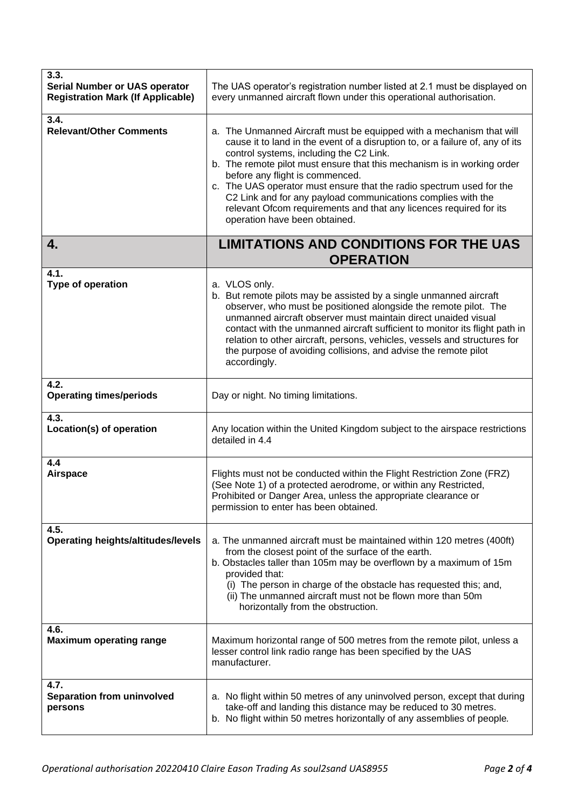| 3.3.<br><b>Serial Number or UAS operator</b><br><b>Registration Mark (If Applicable)</b> | The UAS operator's registration number listed at 2.1 must be displayed on<br>every unmanned aircraft flown under this operational authorisation.                                                                                                                                                                                                                                                                                                                                                                                                              |
|------------------------------------------------------------------------------------------|---------------------------------------------------------------------------------------------------------------------------------------------------------------------------------------------------------------------------------------------------------------------------------------------------------------------------------------------------------------------------------------------------------------------------------------------------------------------------------------------------------------------------------------------------------------|
| 3.4.<br><b>Relevant/Other Comments</b>                                                   | a. The Unmanned Aircraft must be equipped with a mechanism that will<br>cause it to land in the event of a disruption to, or a failure of, any of its<br>control systems, including the C2 Link.<br>b. The remote pilot must ensure that this mechanism is in working order<br>before any flight is commenced.<br>c. The UAS operator must ensure that the radio spectrum used for the<br>C2 Link and for any payload communications complies with the<br>relevant Ofcom requirements and that any licences required for its<br>operation have been obtained. |
| 4.                                                                                       | <b>LIMITATIONS AND CONDITIONS FOR THE UAS</b><br><b>OPERATION</b>                                                                                                                                                                                                                                                                                                                                                                                                                                                                                             |
| 4.1.<br>Type of operation                                                                | a. VLOS only.<br>b. But remote pilots may be assisted by a single unmanned aircraft<br>observer, who must be positioned alongside the remote pilot. The<br>unmanned aircraft observer must maintain direct unaided visual<br>contact with the unmanned aircraft sufficient to monitor its flight path in<br>relation to other aircraft, persons, vehicles, vessels and structures for<br>the purpose of avoiding collisions, and advise the remote pilot<br>accordingly.                                                                                      |
| 4.2.<br><b>Operating times/periods</b>                                                   | Day or night. No timing limitations.                                                                                                                                                                                                                                                                                                                                                                                                                                                                                                                          |
| 4.3.<br>Location(s) of operation                                                         | Any location within the United Kingdom subject to the airspace restrictions<br>detailed in 4.4                                                                                                                                                                                                                                                                                                                                                                                                                                                                |
| 4.4<br><b>Airspace</b>                                                                   | Flights must not be conducted within the Flight Restriction Zone (FRZ)<br>(See Note 1) of a protected aerodrome, or within any Restricted,<br>Prohibited or Danger Area, unless the appropriate clearance or<br>permission to enter has been obtained.                                                                                                                                                                                                                                                                                                        |
| 4.5.<br><b>Operating heights/altitudes/levels</b>                                        | a. The unmanned aircraft must be maintained within 120 metres (400ft)<br>from the closest point of the surface of the earth.<br>b. Obstacles taller than 105m may be overflown by a maximum of 15m<br>provided that:<br>(i) The person in charge of the obstacle has requested this; and,<br>(ii) The unmanned aircraft must not be flown more than 50m<br>horizontally from the obstruction.                                                                                                                                                                 |
| 4.6.<br><b>Maximum operating range</b>                                                   | Maximum horizontal range of 500 metres from the remote pilot, unless a<br>lesser control link radio range has been specified by the UAS<br>manufacturer.                                                                                                                                                                                                                                                                                                                                                                                                      |
| 4.7.<br>Separation from uninvolved<br>persons                                            | a. No flight within 50 metres of any uninvolved person, except that during<br>take-off and landing this distance may be reduced to 30 metres.<br>b. No flight within 50 metres horizontally of any assemblies of people.                                                                                                                                                                                                                                                                                                                                      |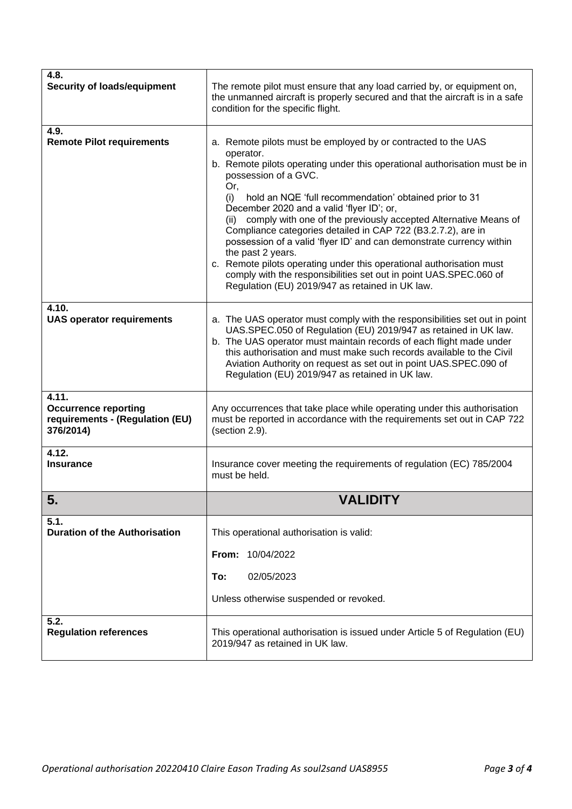| 4.8.<br><b>Security of loads/equipment</b>                                           | The remote pilot must ensure that any load carried by, or equipment on,<br>the unmanned aircraft is properly secured and that the aircraft is in a safe<br>condition for the specific flight.                                                                                                                                                                                                                                                                                                                                                                                                                                                                                                                                                 |
|--------------------------------------------------------------------------------------|-----------------------------------------------------------------------------------------------------------------------------------------------------------------------------------------------------------------------------------------------------------------------------------------------------------------------------------------------------------------------------------------------------------------------------------------------------------------------------------------------------------------------------------------------------------------------------------------------------------------------------------------------------------------------------------------------------------------------------------------------|
| 4.9.<br><b>Remote Pilot requirements</b>                                             | a. Remote pilots must be employed by or contracted to the UAS<br>operator.<br>b. Remote pilots operating under this operational authorisation must be in<br>possession of a GVC.<br>Or,<br>hold an NQE 'full recommendation' obtained prior to 31<br>(i)<br>December 2020 and a valid 'flyer ID'; or,<br>comply with one of the previously accepted Alternative Means of<br>(ii)<br>Compliance categories detailed in CAP 722 (B3.2.7.2), are in<br>possession of a valid 'flyer ID' and can demonstrate currency within<br>the past 2 years.<br>c. Remote pilots operating under this operational authorisation must<br>comply with the responsibilities set out in point UAS.SPEC.060 of<br>Regulation (EU) 2019/947 as retained in UK law. |
| 4.10.<br><b>UAS operator requirements</b>                                            | a. The UAS operator must comply with the responsibilities set out in point<br>UAS.SPEC.050 of Regulation (EU) 2019/947 as retained in UK law.<br>b. The UAS operator must maintain records of each flight made under<br>this authorisation and must make such records available to the Civil<br>Aviation Authority on request as set out in point UAS.SPEC.090 of<br>Regulation (EU) 2019/947 as retained in UK law.                                                                                                                                                                                                                                                                                                                          |
| 4.11.<br><b>Occurrence reporting</b><br>requirements - (Regulation (EU)<br>376/2014) | Any occurrences that take place while operating under this authorisation<br>must be reported in accordance with the requirements set out in CAP 722<br>(section 2.9).                                                                                                                                                                                                                                                                                                                                                                                                                                                                                                                                                                         |
| 4.12.<br><b>Insurance</b>                                                            | Insurance cover meeting the requirements of regulation (EC) 785/2004<br>must be held.                                                                                                                                                                                                                                                                                                                                                                                                                                                                                                                                                                                                                                                         |
| 5.                                                                                   | <b>VALIDITY</b>                                                                                                                                                                                                                                                                                                                                                                                                                                                                                                                                                                                                                                                                                                                               |
| 5.1.<br><b>Duration of the Authorisation</b>                                         | This operational authorisation is valid:                                                                                                                                                                                                                                                                                                                                                                                                                                                                                                                                                                                                                                                                                                      |
|                                                                                      | 10/04/2022<br>From:                                                                                                                                                                                                                                                                                                                                                                                                                                                                                                                                                                                                                                                                                                                           |
|                                                                                      | To:<br>02/05/2023<br>Unless otherwise suspended or revoked.                                                                                                                                                                                                                                                                                                                                                                                                                                                                                                                                                                                                                                                                                   |
| 5.2.<br><b>Regulation references</b>                                                 | This operational authorisation is issued under Article 5 of Regulation (EU)<br>2019/947 as retained in UK law.                                                                                                                                                                                                                                                                                                                                                                                                                                                                                                                                                                                                                                |